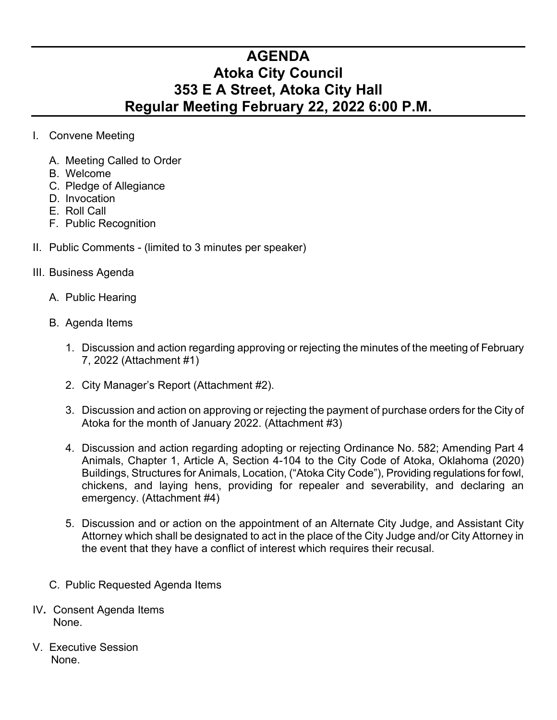## **AGENDA Atoka City Council 353 E A Street, Atoka City Hall Regular Meeting February 22, 2022 6:00 P.M.**

- I. Convene Meeting
	- A. Meeting Called to Order
	- B. Welcome
	- C. Pledge of Allegiance
	- D. Invocation
	- E. Roll Call
	- F. Public Recognition
- II. Public Comments (limited to 3 minutes per speaker)
- III. Business Agenda
	- A. Public Hearing
	- B. Agenda Items
		- 1. Discussion and action regarding approving or rejecting the minutes of the meeting of February 7, 2022 (Attachment #1)
		- 2. City Manager's Report (Attachment #2).
		- 3. Discussion and action on approving or rejecting the payment of purchase orders for the City of Atoka for the month of January 2022. (Attachment #3)
		- 4. Discussion and action regarding adopting or rejecting Ordinance No. 582; Amending Part 4 Animals, Chapter 1, Article A, Section 4-104 to the City Code of Atoka, Oklahoma (2020) Buildings, Structures for Animals, Location, ("Atoka City Code"), Providing regulations for fowl, chickens, and laying hens, providing for repealer and severability, and declaring an emergency. (Attachment #4)
		- 5. Discussion and or action on the appointment of an Alternate City Judge, and Assistant City Attorney which shall be designated to act in the place of the City Judge and/or City Attorney in the event that they have a conflict of interest which requires their recusal.
	- C. Public Requested Agenda Items
- IV**.** Consent Agenda Items None.
- V. Executive Session None.